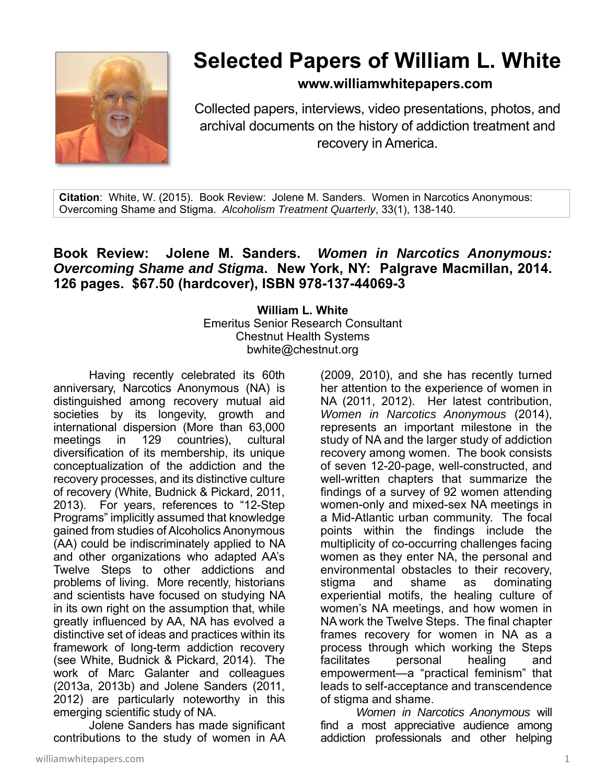

## **Selected Papers of William L. White**

## **www.williamwhitepapers.com**

Collected papers, interviews, video presentations, photos, and archival documents on the history of addiction treatment and recovery in America.

**Citation**: White, W. (2015). Book Review: Jolene M. Sanders. Women in Narcotics Anonymous: Overcoming Shame and Stigma. *Alcoholism Treatment Quarterly*, 33(1), 138-140.

## **Book Review: Jolene M. Sanders.** *Women in Narcotics Anonymous: Overcoming Shame and Stigma***. New York, NY: Palgrave Macmillan, 2014. 126 pages. \$67.50 (hardcover), ISBN 978-137-44069-3**

**William L. White**  Emeritus Senior Research Consultant Chestnut Health Systems bwhite@chestnut.org

Having recently celebrated its 60th anniversary, Narcotics Anonymous (NA) is distinguished among recovery mutual aid societies by its longevity, growth and international dispersion (More than 63,000 meetings in 129 countries), cultural diversification of its membership, its unique conceptualization of the addiction and the recovery processes, and its distinctive culture of recovery (White, Budnick & Pickard, 2011, 2013). For years, references to "12-Step Programs" implicitly assumed that knowledge gained from studies of Alcoholics Anonymous (AA) could be indiscriminately applied to NA and other organizations who adapted AA's Twelve Steps to other addictions and problems of living. More recently, historians and scientists have focused on studying NA in its own right on the assumption that, while greatly influenced by AA, NA has evolved a distinctive set of ideas and practices within its framework of long-term addiction recovery (see White, Budnick & Pickard, 2014). The work of Marc Galanter and colleagues (2013a, 2013b) and Jolene Sanders (2011, 2012) are particularly noteworthy in this emerging scientific study of NA.

 Jolene Sanders has made significant contributions to the study of women in AA (2009, 2010), and she has recently turned her attention to the experience of women in NA (2011, 2012). Her latest contribution, *Women in Narcotics Anonymous* (2014), represents an important milestone in the study of NA and the larger study of addiction recovery among women. The book consists of seven 12-20-page, well-constructed, and well-written chapters that summarize the findings of a survey of 92 women attending women-only and mixed-sex NA meetings in a Mid-Atlantic urban community. The focal points within the findings include the multiplicity of co-occurring challenges facing women as they enter NA, the personal and environmental obstacles to their recovery, stigma and shame as dominating experiential motifs, the healing culture of women's NA meetings, and how women in NA work the Twelve Steps. The final chapter frames recovery for women in NA as a process through which working the Steps facilitates personal healing and empowerment—a "practical feminism" that leads to self-acceptance and transcendence of stigma and shame.

*Women in Narcotics Anonymous* will find a most appreciative audience among addiction professionals and other helping